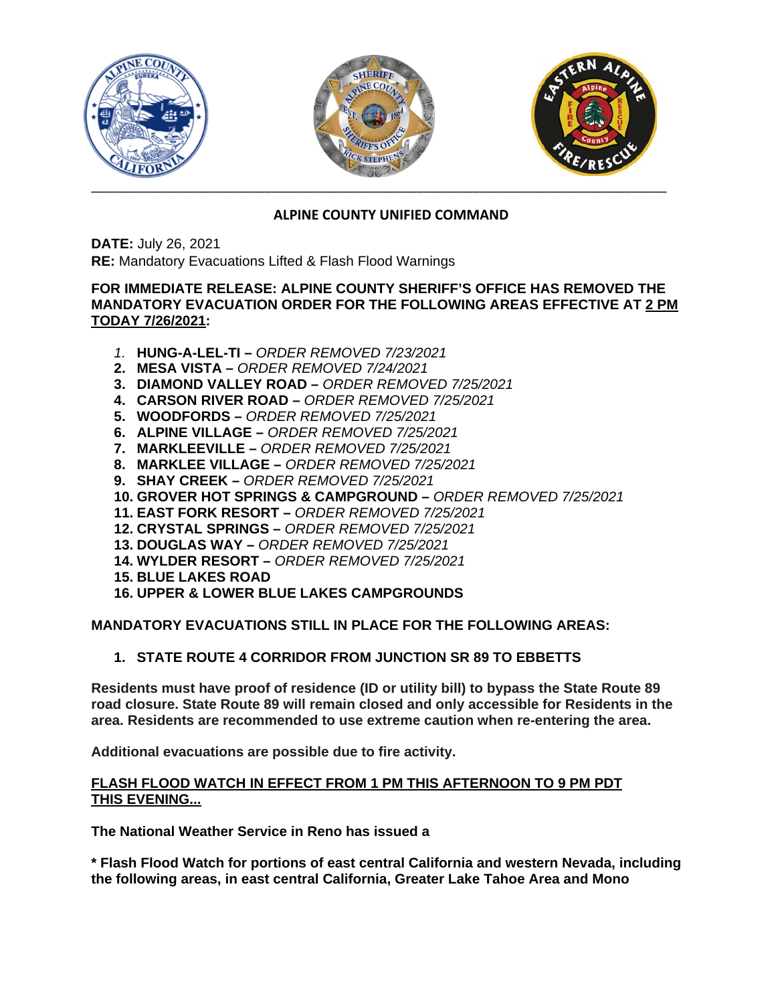

# **ALPINE COUNTY UNIFIED COMMAND**

**DATE:** July 26, 2021 **RE:** Mandatory Evacuations Lifted & Flash Flood Warnings

# **FOR IMMEDIATE RELEASE: ALPINE COUNTY SHERIFF'S OFFICE HAS REMOVED THE MANDATORY EVACUATION ORDER FOR THE FOLLOWING AREAS EFFECTIVE AT 2 PM TODAY 7/26/2021:**

- *1.* **HUNG-A-LEL-TI –** *ORDER REMOVED 7/23/2021*
- **2. MESA VISTA –** *ORDER REMOVED 7/24/2021*
- **3. DIAMOND VALLEY ROAD –** *ORDER REMOVED 7/25/2021*
- **4. CARSON RIVER ROAD –** *ORDER REMOVED 7/25/2021*
- **5. WOODFORDS –** *ORDER REMOVED 7/25/2021*
- **6. ALPINE VILLAGE –** *ORDER REMOVED 7/25/2021*
- **7. MARKLEEVILLE –** *ORDER REMOVED 7/25/2021*
- **8. MARKLEE VILLAGE –** *ORDER REMOVED 7/25/2021*
- **9. SHAY CREEK –** *ORDER REMOVED 7/25/2021*
- **10. GROVER HOT SPRINGS & CAMPGROUND –** *ORDER REMOVED 7/25/2021*
- **11. EAST FORK RESORT –** *ORDER REMOVED 7/25/2021*
- **12. CRYSTAL SPRINGS –** *ORDER REMOVED 7/25/2021*
- **13. DOUGLAS WAY –** *ORDER REMOVED 7/25/2021*
- **14. WYLDER RESORT –** *ORDER REMOVED 7/25/2021*
- **15. BLUE LAKES ROAD**
- **16. UPPER & LOWER BLUE LAKES CAMPGROUNDS**

**MANDATORY EVACUATIONS STILL IN PLACE FOR THE FOLLOWING AREAS:**

**1. STATE ROUTE 4 CORRIDOR FROM JUNCTION SR 89 TO EBBETTS** 

**Residents must have proof of residence (ID or utility bill) to bypass the State Route 89 road closure. State Route 89 will remain closed and only accessible for Residents in the area. Residents are recommended to use extreme caution when re-entering the area.** 

**Additional evacuations are possible due to fire activity.** 

## **FLASH FLOOD WATCH IN EFFECT FROM 1 PM THIS AFTERNOON TO 9 PM PDT THIS EVENING...**

**The National Weather Service in Reno has issued a**

**\* Flash Flood Watch for portions of east central California and western Nevada, including the following areas, in east central California, Greater Lake Tahoe Area and Mono**